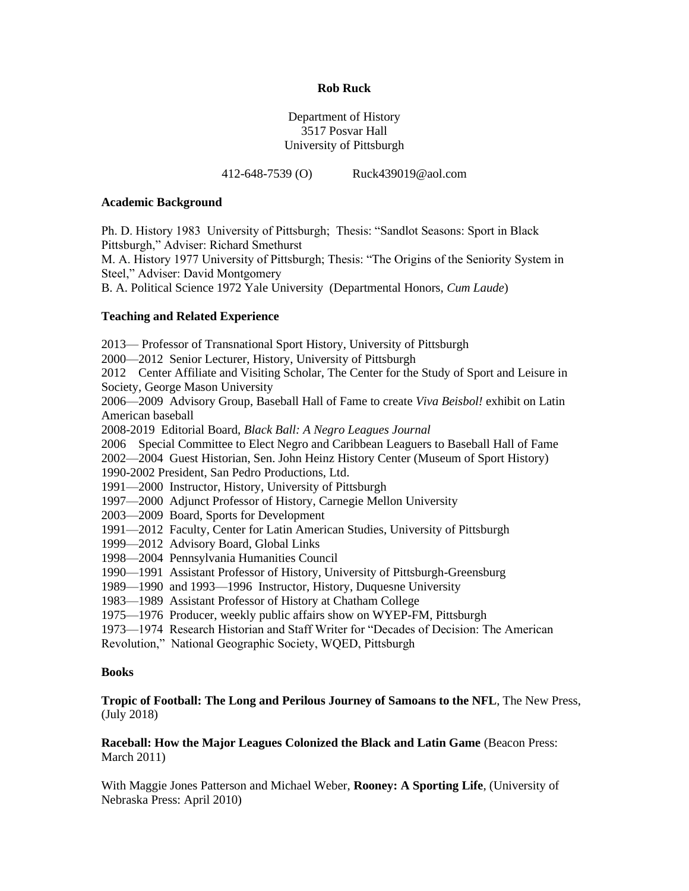## **Rob Ruck**

# Department of History 3517 Posvar Hall University of Pittsburgh

412-648-7539 (O) Ruck439019@aol.com

#### **Academic Background**

Ph. D. History 1983 University of Pittsburgh; Thesis: "Sandlot Seasons: Sport in Black Pittsburgh," Adviser: Richard Smethurst

M. A. History 1977 University of Pittsburgh; Thesis: "The Origins of the Seniority System in Steel," Adviser: David Montgomery

B. A. Political Science 1972 Yale University (Departmental Honors, *Cum Laude*)

# **Teaching and Related Experience**

2013— Professor of Transnational Sport History, University of Pittsburgh

2000—2012 Senior Lecturer, History, University of Pittsburgh

2012 Center Affiliate and Visiting Scholar, The Center for the Study of Sport and Leisure in Society, George Mason University

2006—2009 Advisory Group, Baseball Hall of Fame to create *Viva Beisbol!* exhibit on Latin American baseball

2008-2019 Editorial Board, *Black Ball: A Negro Leagues Journal*

2006 Special Committee to Elect Negro and Caribbean Leaguers to Baseball Hall of Fame

2002—2004 Guest Historian, Sen. John Heinz History Center (Museum of Sport History)

1990-2002 President, San Pedro Productions, Ltd.

1991—2000 Instructor, History, University of Pittsburgh

1997—2000 Adjunct Professor of History, Carnegie Mellon University

2003—2009 Board, Sports for Development

1991—2012 Faculty, Center for Latin American Studies, University of Pittsburgh

- 1999—2012 Advisory Board, Global Links
- 1998—2004 Pennsylvania Humanities Council

1990—1991 Assistant Professor of History, University of Pittsburgh-Greensburg

1989—1990 and 1993—1996 Instructor, History, Duquesne University

1983—1989 Assistant Professor of History at Chatham College

1975—1976 Producer, weekly public affairs show on WYEP-FM, Pittsburgh

1973—1974 Research Historian and Staff Writer for "Decades of Decision: The American

Revolution," National Geographic Society, WQED, Pittsburgh

## **Books**

# **Tropic of Football: The Long and Perilous Journey of Samoans to the NFL**, The New Press, (July 2018)

**Raceball: How the Major Leagues Colonized the Black and Latin Game (Beacon Press:** March 2011)

With Maggie Jones Patterson and Michael Weber, **Rooney: A Sporting Life**, (University of Nebraska Press: April 2010)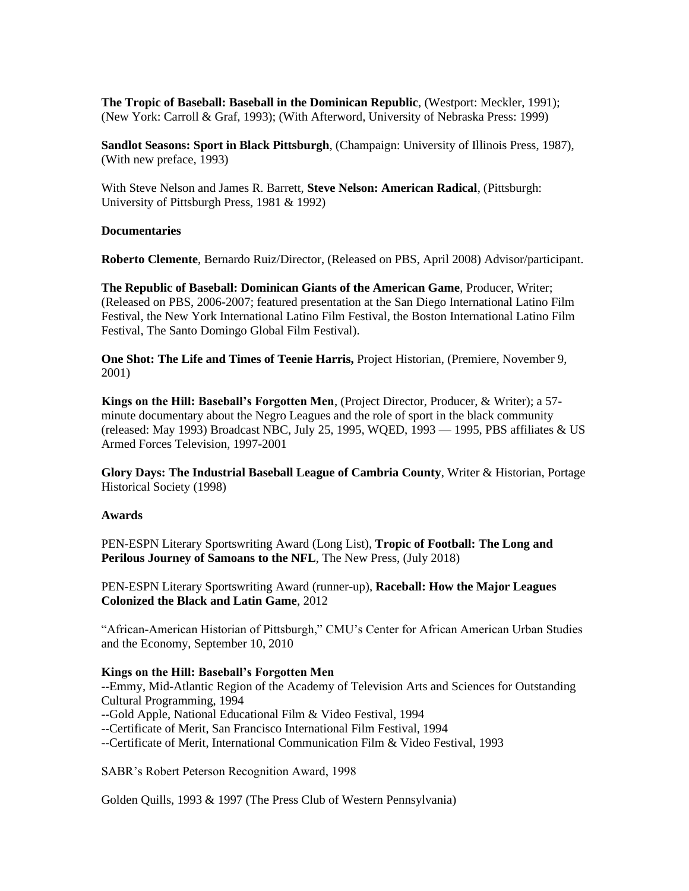**The Tropic of Baseball: Baseball in the Dominican Republic**, (Westport: Meckler, 1991); (New York: Carroll & Graf, 1993); (With Afterword, University of Nebraska Press: 1999)

**Sandlot Seasons: Sport in Black Pittsburgh**, (Champaign: University of Illinois Press, 1987), (With new preface, 1993)

With Steve Nelson and James R. Barrett, **Steve Nelson: American Radical**, (Pittsburgh: University of Pittsburgh Press, 1981 & 1992)

## **Documentaries**

**Roberto Clemente**, Bernardo Ruiz/Director, (Released on PBS, April 2008) Advisor/participant.

**The Republic of Baseball: Dominican Giants of the American Game**, Producer, Writer; (Released on PBS, 2006-2007; featured presentation at the San Diego International Latino Film Festival, the New York International Latino Film Festival, the Boston International Latino Film Festival, The Santo Domingo Global Film Festival).

**One Shot: The Life and Times of Teenie Harris,** Project Historian, (Premiere, November 9, 2001)

**Kings on the Hill: Baseball's Forgotten Men**, (Project Director, Producer, & Writer); a 57 minute documentary about the Negro Leagues and the role of sport in the black community (released: May 1993) Broadcast NBC, July 25, 1995, WQED, 1993 — 1995, PBS affiliates & US Armed Forces Television, 1997-2001

**Glory Days: The Industrial Baseball League of Cambria County**, Writer & Historian, Portage Historical Society (1998)

## **Awards**

PEN-ESPN Literary Sportswriting Award (Long List), **Tropic of Football: The Long and Perilous Journey of Samoans to the NFL**, The New Press, (July 2018)

PEN-ESPN Literary Sportswriting Award (runner-up), **Raceball: How the Major Leagues Colonized the Black and Latin Game**, 2012

"African-American Historian of Pittsburgh," CMU's Center for African American Urban Studies and the Economy, September 10, 2010

# **Kings on the Hill: Baseball's Forgotten Men**

--Emmy, Mid-Atlantic Region of the Academy of Television Arts and Sciences for Outstanding Cultural Programming, 1994 --Gold Apple, National Educational Film & Video Festival, 1994 --Certificate of Merit, San Francisco International Film Festival, 1994 --Certificate of Merit, International Communication Film & Video Festival, 1993

SABR's Robert Peterson Recognition Award, 1998

Golden Quills, 1993 & 1997 (The Press Club of Western Pennsylvania)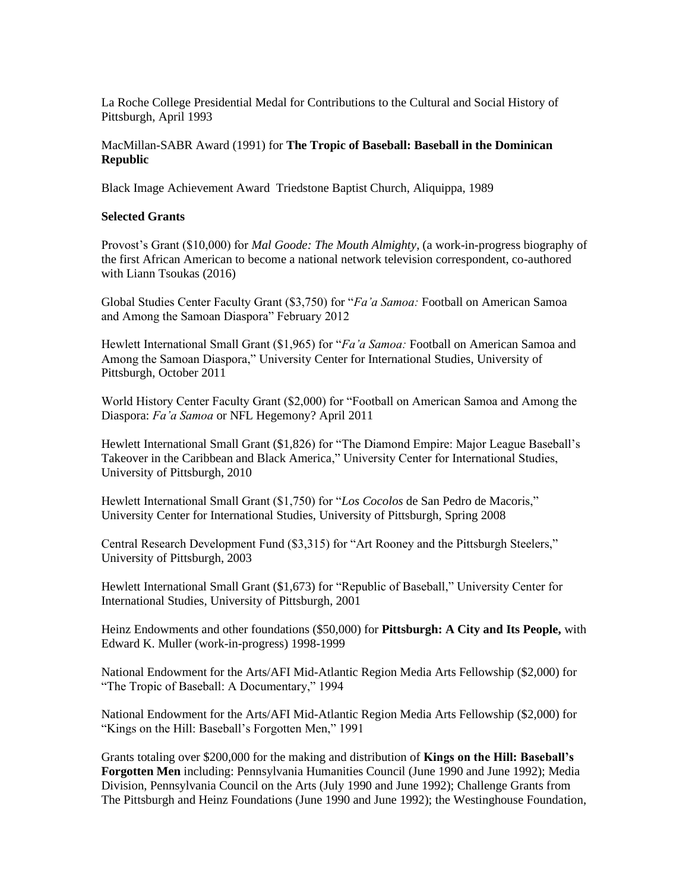La Roche College Presidential Medal for Contributions to the Cultural and Social History of Pittsburgh, April 1993

# MacMillan-SABR Award (1991) for **The Tropic of Baseball: Baseball in the Dominican Republic**

Black Image Achievement Award Triedstone Baptist Church, Aliquippa, 1989

#### **Selected Grants**

Provost's Grant (\$10,000) for *Mal Goode: The Mouth Almighty*, (a work-in-progress biography of the first African American to become a national network television correspondent, co-authored with Liann Tsoukas (2016)

Global Studies Center Faculty Grant (\$3,750) for "*Fa'a Samoa:* Football on American Samoa and Among the Samoan Diaspora" February 2012

Hewlett International Small Grant (\$1,965) for "*Fa'a Samoa:* Football on American Samoa and Among the Samoan Diaspora," University Center for International Studies, University of Pittsburgh, October 2011

World History Center Faculty Grant (\$2,000) for "Football on American Samoa and Among the Diaspora: *Fa'a Samoa* or NFL Hegemony? April 2011

Hewlett International Small Grant (\$1,826) for "The Diamond Empire: Major League Baseball's Takeover in the Caribbean and Black America," University Center for International Studies, University of Pittsburgh, 2010

Hewlett International Small Grant (\$1,750) for "*Los Cocolos* de San Pedro de Macoris," University Center for International Studies, University of Pittsburgh, Spring 2008

Central Research Development Fund (\$3,315) for "Art Rooney and the Pittsburgh Steelers," University of Pittsburgh, 2003

Hewlett International Small Grant (\$1,673) for "Republic of Baseball," University Center for International Studies, University of Pittsburgh, 2001

Heinz Endowments and other foundations (\$50,000) for **Pittsburgh: A City and Its People,** with Edward K. Muller (work-in-progress) 1998-1999

National Endowment for the Arts/AFI Mid-Atlantic Region Media Arts Fellowship (\$2,000) for "The Tropic of Baseball: A Documentary," 1994

National Endowment for the Arts/AFI Mid-Atlantic Region Media Arts Fellowship (\$2,000) for "Kings on the Hill: Baseball's Forgotten Men," 1991

Grants totaling over \$200,000 for the making and distribution of **Kings on the Hill: Baseball's Forgotten Men** including: Pennsylvania Humanities Council (June 1990 and June 1992); Media Division, Pennsylvania Council on the Arts (July 1990 and June 1992); Challenge Grants from The Pittsburgh and Heinz Foundations (June 1990 and June 1992); the Westinghouse Foundation,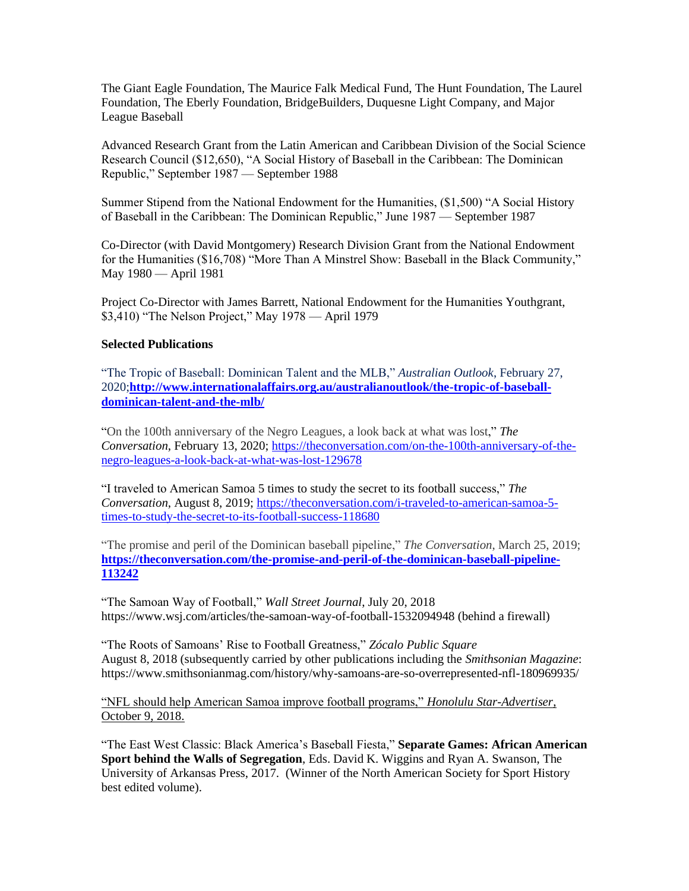The Giant Eagle Foundation, The Maurice Falk Medical Fund, The Hunt Foundation, The Laurel Foundation, The Eberly Foundation, BridgeBuilders, Duquesne Light Company, and Major League Baseball

Advanced Research Grant from the Latin American and Caribbean Division of the Social Science Research Council (\$12,650), "A Social History of Baseball in the Caribbean: The Dominican Republic," September 1987 — September 1988

Summer Stipend from the National Endowment for the Humanities, (\$1,500) "A Social History of Baseball in the Caribbean: The Dominican Republic," June 1987 — September 1987

Co-Director (with David Montgomery) Research Division Grant from the National Endowment for the Humanities (\$16,708) "More Than A Minstrel Show: Baseball in the Black Community," May 1980 — April 1981

Project Co-Director with James Barrett, National Endowment for the Humanities Youthgrant, \$3,410) "The Nelson Project," May 1978 — April 1979

## **Selected Publications**

"The Tropic of Baseball: Dominican Talent and the MLB," *Australian Outlook*, February 27, 2020;**[http://www.internationalaffairs.org.au/australianoutlook/the-tropic-of-baseball](http://www.internationalaffairs.org.au/australianoutlook/the-tropic-of-baseball-dominican-talent-and-the-mlb/)[dominican-talent-and-the-mlb/](http://www.internationalaffairs.org.au/australianoutlook/the-tropic-of-baseball-dominican-talent-and-the-mlb/)**

"On the 100th anniversary of the Negro Leagues, a look back at what was lost," *The Conversation*, February 13, 2020; [https://theconversation.com/on-the-100th-anniversary-of-the](https://theconversation.com/on-the-100th-anniversary-of-the-negro-leagues-a-look-back-at-what-was-lost-129678)[negro-leagues-a-look-back-at-what-was-lost-129678](https://theconversation.com/on-the-100th-anniversary-of-the-negro-leagues-a-look-back-at-what-was-lost-129678)

"I traveled to American Samoa 5 times to study the secret to its football success," *The Conversation*, August 8, 2019; [https://theconversation.com/i-traveled-to-american-samoa-5](https://theconversation.com/i-traveled-to-american-samoa-5-times-to-study-the-secret-to-its-football-success-118680) [times-to-study-the-secret-to-its-football-success-118680](https://theconversation.com/i-traveled-to-american-samoa-5-times-to-study-the-secret-to-its-football-success-118680)

"The promise and peril of the Dominican baseball pipeline," *The Conversation*, March 25, 2019; **[https://theconversation.com/the-promise-and-peril-of-the-dominican-baseball-pipeline-](https://theconversation.com/the-promise-and-peril-of-the-dominican-baseball-pipeline-113242)[113242](https://theconversation.com/the-promise-and-peril-of-the-dominican-baseball-pipeline-113242)**

"The Samoan Way of Football," *Wall Street Journal*, July 20, 2018 <https://www.wsj.com/articles/the-samoan-way-of-football-1532094948> (behind a firewall)

"The Roots of Samoans' Rise to Football Greatness," *[Zócalo Public Square](https://www.zocalopublicsquare.org/tag/samoan/)* August 8, 2018 (subsequently carried by other publications including the *Smithsonian Magazine*: https://www.smithsonianmag.com/history/why-samoans-are-so-overrepresented-nfl-180969935/

["NFL should help American Samoa improve football programs,"](/Users/robruck/Dropbox/%0d“NFL%20should%20help%20American%20Samoa%20improve%20football%20programs,”%20Honolulu%20Star-Advertiser,%20October%209,%202018%20https:/www.staradvertiser.com/.../column-nfl-should-help-american-samoa-improve-f...%0d) *Honolulu Star-Advertiser*, [October 9, 2018.](/Users/robruck/Dropbox/%0d“NFL%20should%20help%20American%20Samoa%20improve%20football%20programs,”%20Honolulu%20Star-Advertiser,%20October%209,%202018%20https:/www.staradvertiser.com/.../column-nfl-should-help-american-samoa-improve-f...%0d)

"The East West Classic: Black America's Baseball Fiesta," **Separate Games: African American Sport behind the Walls of Segregation**, Eds. David K. Wiggins and Ryan A. Swanson, The University of Arkansas Press, 2017. (Winner of the North American Society for Sport History best edited volume).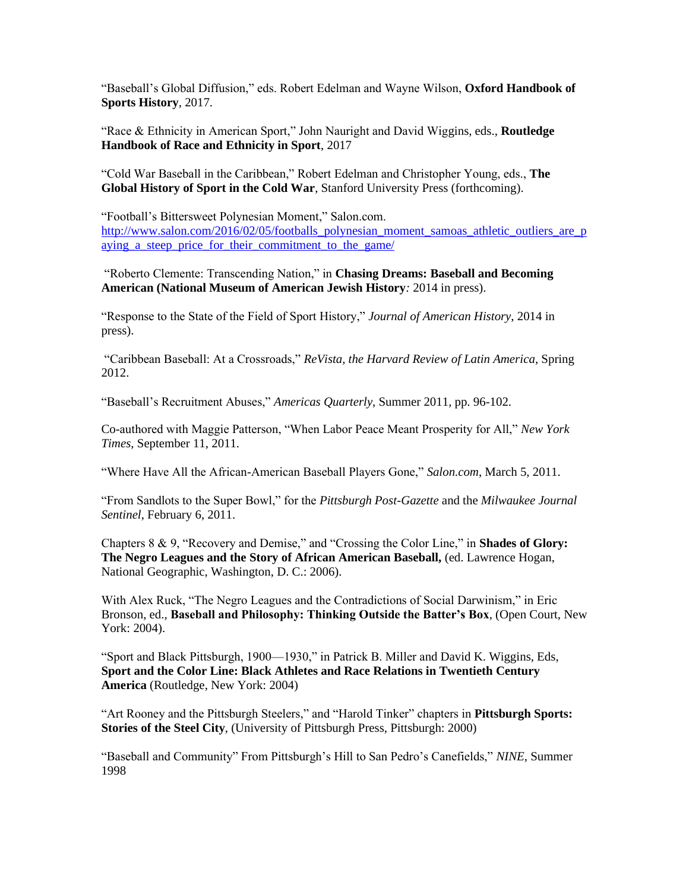"Baseball's Global Diffusion," eds. Robert Edelman and Wayne Wilson, **Oxford Handbook of Sports History**, 2017.

"Race & Ethnicity in American Sport," John Nauright and David Wiggins, eds., **Routledge Handbook of Race and Ethnicity in Sport**, 2017

"Cold War Baseball in the Caribbean," Robert Edelman and Christopher Young, eds., **The Global History of Sport in the Cold War**, Stanford University Press (forthcoming).

"Football's Bittersweet Polynesian Moment," Salon.com. [http://www.salon.com/2016/02/05/footballs\\_polynesian\\_moment\\_samoas\\_athletic\\_outliers\\_are\\_p](http://www.salon.com/2016/02/05/footballs_polynesian_moment_samoas_athletic_outliers_are_paying_a_steep_price_for_their_commitment_to_the_game/) aying a steep price for their commitment to the game/

"Roberto Clemente: Transcending Nation," in **Chasing Dreams: Baseball and Becoming American (National Museum of American Jewish History***:* 2014 in press).

"Response to the State of the Field of Sport History," *Journal of American History*, 2014 in press).

"Caribbean Baseball: At a Crossroads," *ReVista, the Harvard Review of Latin America*, Spring 2012.

"Baseball's Recruitment Abuses," *Americas Quarterly*, Summer 2011, pp. 96-102.

Co-authored with Maggie Patterson, "When Labor Peace Meant Prosperity for All," *New York Times*, September 11, 2011.

"Where Have All the African-American Baseball Players Gone," *Salon.com*, March 5, 2011.

"From Sandlots to the Super Bowl," for the *Pittsburgh Post-Gazette* and the *Milwaukee Journal Sentinel*, February 6, 2011.

Chapters 8 & 9, "Recovery and Demise," and "Crossing the Color Line," in **Shades of Glory: The Negro Leagues and the Story of African American Baseball,** (ed. Lawrence Hogan, National Geographic, Washington, D. C.: 2006).

With Alex Ruck, "The Negro Leagues and the Contradictions of Social Darwinism," in Eric Bronson, ed., **Baseball and Philosophy: Thinking Outside the Batter's Box**, (Open Court, New York: 2004).

"Sport and Black Pittsburgh, 1900—1930," in Patrick B. Miller and David K. Wiggins, Eds, **Sport and the Color Line: Black Athletes and Race Relations in Twentieth Century America** (Routledge, New York: 2004)

"Art Rooney and the Pittsburgh Steelers," and "Harold Tinker" chapters in **Pittsburgh Sports: Stories of the Steel City**, (University of Pittsburgh Press, Pittsburgh: 2000)

"Baseball and Community" From Pittsburgh's Hill to San Pedro's Canefields," *NINE*, Summer 1998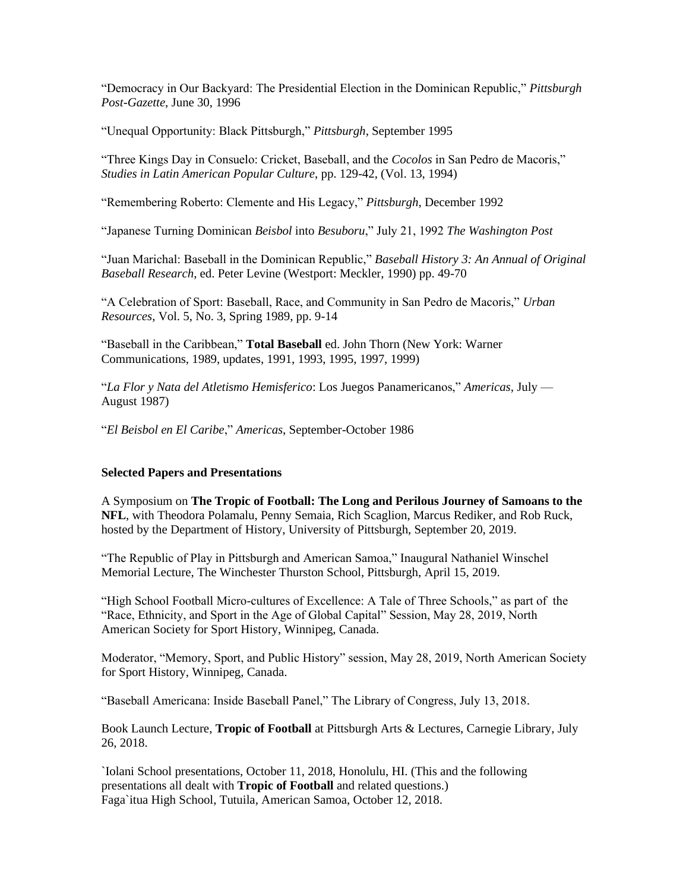"Democracy in Our Backyard: The Presidential Election in the Dominican Republic," *Pittsburgh Post-Gazette*, June 30, 1996

"Unequal Opportunity: Black Pittsburgh," *Pittsburgh*, September 1995

"Three Kings Day in Consuelo: Cricket, Baseball, and the *Cocolos* in San Pedro de Macoris," *Studies in Latin American Popular Culture*, pp. 129-42, (Vol. 13, 1994)

"Remembering Roberto: Clemente and His Legacy," *Pittsburgh*, December 1992

"Japanese Turning Dominican *Beisbol* into *Besuboru*," July 21, 1992 *The Washington Post*

"Juan Marichal: Baseball in the Dominican Republic," *Baseball History 3: An Annual of Original Baseball Research*, ed. Peter Levine (Westport: Meckler, 1990) pp. 49-70

"A Celebration of Sport: Baseball, Race, and Community in San Pedro de Macoris," *Urban Resources*, Vol. 5, No. 3, Spring 1989, pp. 9-14

"Baseball in the Caribbean," **Total Baseball** ed. John Thorn (New York: Warner Communications, 1989, updates, 1991, 1993, 1995, 1997, 1999)

"*La Flor y Nata del Atletismo Hemisferico*: Los Juegos Panamericanos," *Americas*, July — August 1987)

"*El Beisbol en El Caribe*," *Americas*, September-October 1986

#### **Selected Papers and Presentations**

A Symposium on **The Tropic of Football: The Long and Perilous Journey of Samoans to the NFL**, with Theodora Polamalu, Penny Semaia, Rich Scaglion, Marcus Rediker, and Rob Ruck, hosted by the Department of History, University of Pittsburgh, September 20, 2019.

"The Republic of Play in Pittsburgh and American Samoa," Inaugural Nathaniel Winschel Memorial Lecture, The Winchester Thurston School, Pittsburgh, April 15, 2019.

"High School Football Micro-cultures of Excellence: A Tale of Three Schools," as part of the "Race, Ethnicity, and Sport in the Age of Global Capital" Session, May 28, 2019, North American Society for Sport History, Winnipeg, Canada.

Moderator, "Memory, Sport, and Public History" session, May 28, 2019, North American Society for Sport History, Winnipeg, Canada.

"Baseball Americana: Inside Baseball Panel," The Library of Congress, July 13, 2018.

Book Launch Lecture, **Tropic of Football** at Pittsburgh Arts & Lectures, Carnegie Library, July 26, 2018.

`Iolani School presentations, October 11, 2018, Honolulu, HI. (This and the following presentations all dealt with **Tropic of Football** and related questions.) Faga`itua High School, Tutuila, American Samoa, October 12, 2018.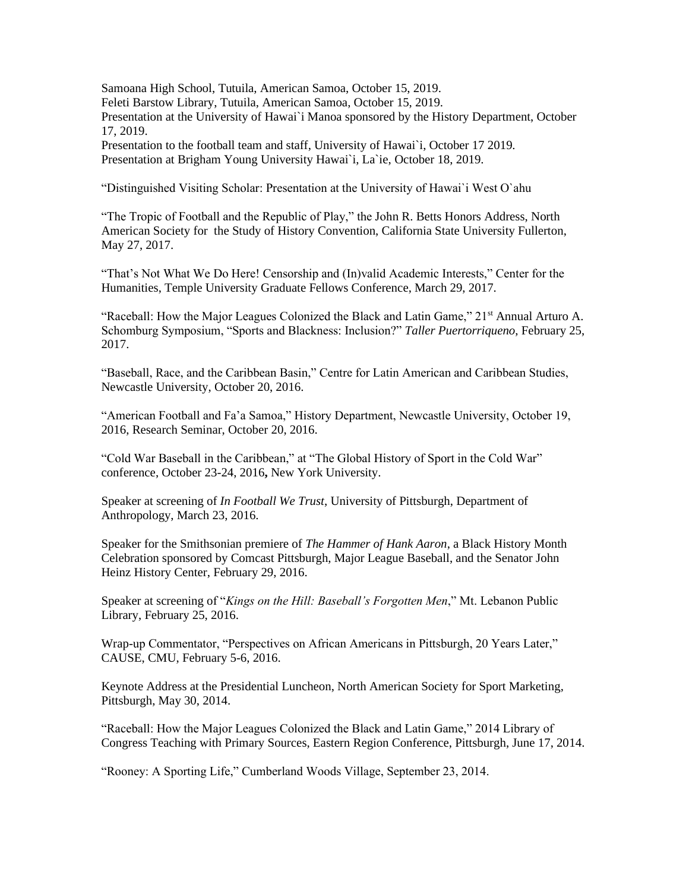Samoana High School, Tutuila, American Samoa, October 15, 2019. Feleti Barstow Library, Tutuila, American Samoa, October 15, 2019. Presentation at the University of Hawai`i Manoa sponsored by the History Department, October 17, 2019. Presentation to the football team and staff, University of Hawai`i, October 17 2019.

Presentation at Brigham Young University Hawai`i, La`ie, October 18, 2019.

"Distinguished Visiting Scholar: Presentation at the University of Hawai`i West O`ahu

"The Tropic of Football and the Republic of Play," the John R. Betts Honors Address, North American Society for the Study of History Convention, California State University Fullerton, May 27, 2017.

"That's Not What We Do Here! Censorship and (In)valid Academic Interests," Center for the Humanities, Temple University Graduate Fellows Conference, March 29, 2017.

"Raceball: How the Major Leagues Colonized the Black and Latin Game,"  $21<sup>st</sup>$  Annual Arturo A. Schomburg Symposium, "Sports and Blackness: Inclusion?" *Taller Puertorriqueno*, February 25, 2017.

"Baseball, Race, and the Caribbean Basin," Centre for Latin American and Caribbean Studies, Newcastle University, October 20, 2016.

"American Football and Fa'a Samoa," History Department, Newcastle University, October 19, 2016, Research Seminar, October 20, 2016.

"Cold War Baseball in the Caribbean," at "The Global History of Sport in the Cold War" conference, October 23-24, 2016**,** New York University.

Speaker at screening of *In Football We Trust*, University of Pittsburgh, Department of Anthropology, March 23, 2016.

Speaker for the Smithsonian premiere of *The Hammer of Hank Aaron*, a Black History Month Celebration sponsored by Comcast Pittsburgh, Major League Baseball, and the Senator John Heinz History Center, February 29, 2016.

Speaker at screening of "*Kings on the Hill: Baseball's Forgotten Men*," Mt. Lebanon Public Library, February 25, 2016.

Wrap-up Commentator, "Perspectives on African Americans in Pittsburgh, 20 Years Later," CAUSE, CMU, February 5-6, 2016.

Keynote Address at the Presidential Luncheon, North American Society for Sport Marketing, Pittsburgh, May 30, 2014.

"Raceball: How the Major Leagues Colonized the Black and Latin Game," 2014 Library of Congress Teaching with Primary Sources, Eastern Region Conference, Pittsburgh, June 17, 2014.

"Rooney: A Sporting Life," Cumberland Woods Village, September 23, 2014.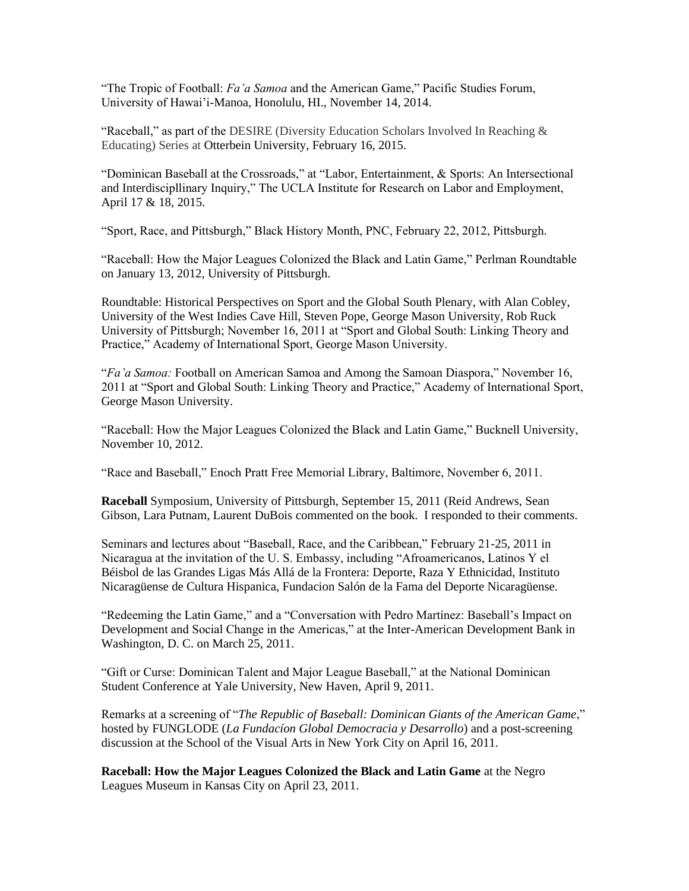"The Tropic of Football: *Fa'a Samoa* and the American Game," Pacific Studies Forum, University of Hawai'i-Manoa, Honolulu, HI., November 14, 2014.

"Raceball," as part of the DESIRE (Diversity Education Scholars Involved In Reaching  $\&$ Educating) Series at Otterbein University, February 16, 2015.

"Dominican Baseball at the Crossroads," at "Labor, Entertainment, & Sports: An Intersectional and Interdiscipllinary Inquiry," The UCLA Institute for Research on Labor and Employment, April 17 & 18, 2015.

"Sport, Race, and Pittsburgh," Black History Month, PNC, February 22, 2012, Pittsburgh.

"Raceball: How the Major Leagues Colonized the Black and Latin Game," Perlman Roundtable on January 13, 2012, University of Pittsburgh.

Roundtable: Historical Perspectives on Sport and the Global South Plenary, with Alan Cobley, University of the West Indies Cave Hill, Steven Pope, George Mason University, Rob Ruck University of Pittsburgh; November 16, 2011 at "Sport and Global South: Linking Theory and Practice," Academy of International Sport, George Mason University.

"*Fa'a Samoa:* Football on American Samoa and Among the Samoan Diaspora," November 16, 2011 at "Sport and Global South: Linking Theory and Practice," Academy of International Sport, George Mason University.

"Raceball: How the Major Leagues Colonized the Black and Latin Game," Bucknell University, November 10, 2012.

"Race and Baseball," Enoch Pratt Free Memorial Library, Baltimore, November 6, 2011.

**Raceball** Symposium, University of Pittsburgh, September 15, 2011 (Reid Andrews, Sean Gibson, Lara Putnam, Laurent DuBois commented on the book. I responded to their comments.

Seminars and lectures about "Baseball, Race, and the Caribbean," February 21-25, 2011 in Nicaragua at the invitation of the U. S. Embassy, including "Afroamericanos, Latinos Y el Béisbol de las Grandes Ligas Más Allá de la Frontera: Deporte, Raza Y Ethnicidad, Instituto Nicaragüense de Cultura Hispanica, Fundacion Salón de la Fama del Deporte Nicaragüense.

"Redeeming the Latin Game," and a "Conversation with Pedro Martínez: Baseball's Impact on Development and Social Change in the Americas," at the Inter-American Development Bank in Washington, D. C. on March 25, 2011.

"Gift or Curse: Dominican Talent and Major League Baseball," at the National Dominican Student Conference at Yale University, New Haven, April 9, 2011.

Remarks at a screening of "*The Republic of Baseball: Dominican Giants of the American Game*," hosted by FUNGLODE (*La Fundacíon Global Democracia y Desarrollo*) and a post-screening discussion at the School of the Visual Arts in New York City on April 16, 2011.

**Raceball: How the Major Leagues Colonized the Black and Latin Game** at the Negro Leagues Museum in Kansas City on April 23, 2011.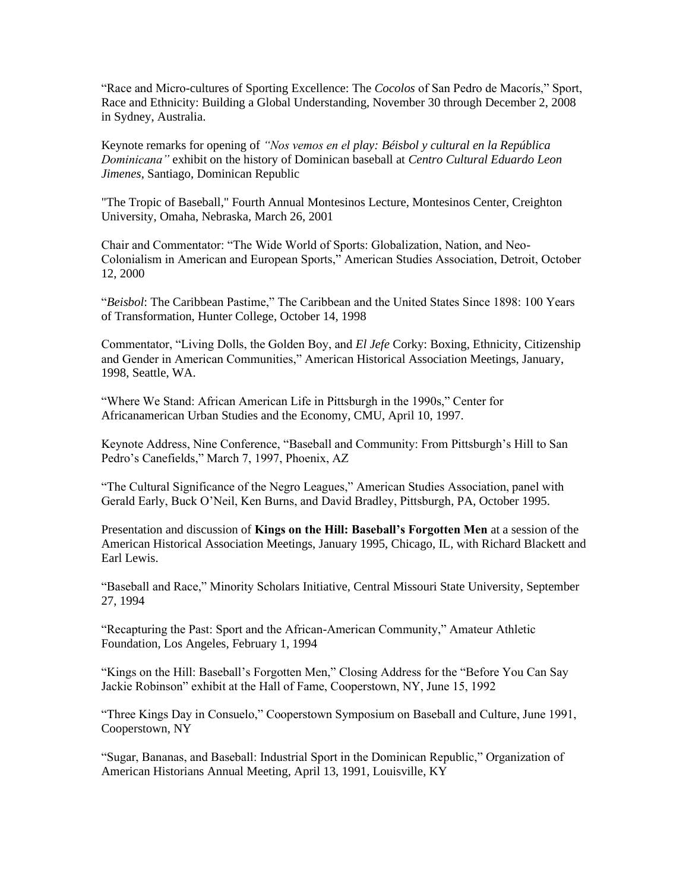"Race and Micro-cultures of Sporting Excellence: The *Cocolos* of San Pedro de Macorís," Sport, Race and Ethnicity: Building a Global Understanding, November 30 through December 2, 2008 in Sydney, Australia.

Keynote remarks for opening of *"Nos vemos en el play: Béisbol y cultural en la República Dominicana"* exhibit on the history of Dominican baseball at *Centro Cultural Eduardo Leon Jimenes*, Santiago, Dominican Republic

"The Tropic of Baseball," Fourth Annual Montesinos Lecture, Montesinos Center, Creighton University, Omaha, Nebraska, March 26, 2001

Chair and Commentator: "The Wide World of Sports: Globalization, Nation, and Neo-Colonialism in American and European Sports," American Studies Association, Detroit, October 12, 2000

"*Beisbol*: The Caribbean Pastime," The Caribbean and the United States Since 1898: 100 Years of Transformation, Hunter College, October 14, 1998

Commentator, "Living Dolls, the Golden Boy, and *El Jefe* Corky: Boxing, Ethnicity, Citizenship and Gender in American Communities," American Historical Association Meetings, January, 1998, Seattle, WA.

"Where We Stand: African American Life in Pittsburgh in the 1990s," Center for Africanamerican Urban Studies and the Economy, CMU, April 10, 1997.

Keynote Address, Nine Conference, "Baseball and Community: From Pittsburgh's Hill to San Pedro's Canefields," March 7, 1997, Phoenix, AZ

"The Cultural Significance of the Negro Leagues," American Studies Association, panel with Gerald Early, Buck O'Neil, Ken Burns, and David Bradley, Pittsburgh, PA, October 1995.

Presentation and discussion of **Kings on the Hill: Baseball's Forgotten Men** at a session of the American Historical Association Meetings, January 1995, Chicago, IL, with Richard Blackett and Earl Lewis.

"Baseball and Race," Minority Scholars Initiative, Central Missouri State University, September 27, 1994

"Recapturing the Past: Sport and the African-American Community," Amateur Athletic Foundation, Los Angeles, February 1, 1994

"Kings on the Hill: Baseball's Forgotten Men," Closing Address for the "Before You Can Say Jackie Robinson" exhibit at the Hall of Fame, Cooperstown, NY, June 15, 1992

"Three Kings Day in Consuelo," Cooperstown Symposium on Baseball and Culture, June 1991, Cooperstown, NY

"Sugar, Bananas, and Baseball: Industrial Sport in the Dominican Republic," Organization of American Historians Annual Meeting, April 13, 1991, Louisville, KY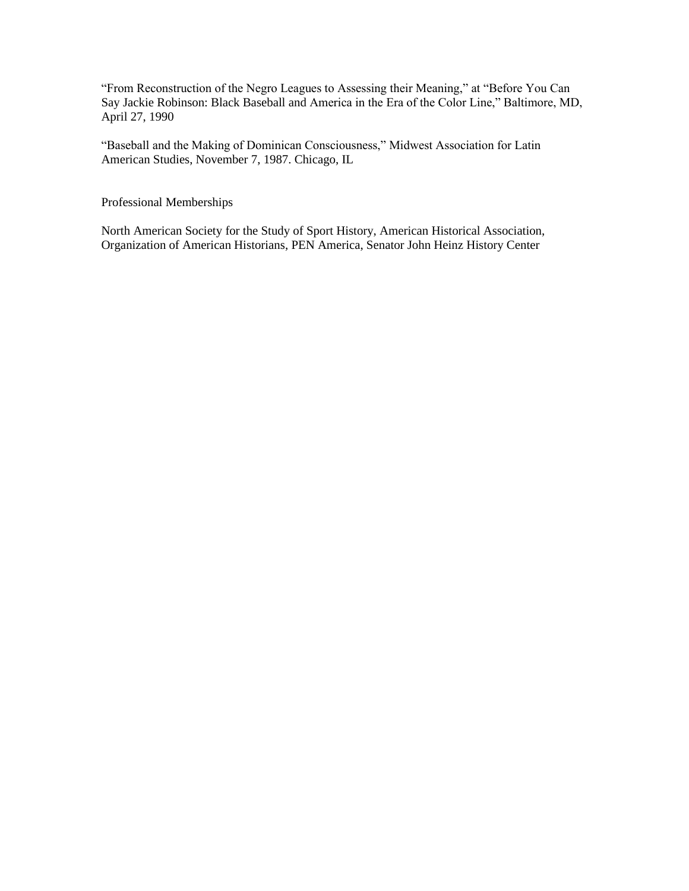"From Reconstruction of the Negro Leagues to Assessing their Meaning," at "Before You Can Say Jackie Robinson: Black Baseball and America in the Era of the Color Line," Baltimore, MD, April 27, 1990

"Baseball and the Making of Dominican Consciousness," Midwest Association for Latin American Studies, November 7, 1987. Chicago, IL

Professional Memberships

North American Society for the Study of Sport History, American Historical Association, Organization of American Historians, PEN America, Senator John Heinz History Center